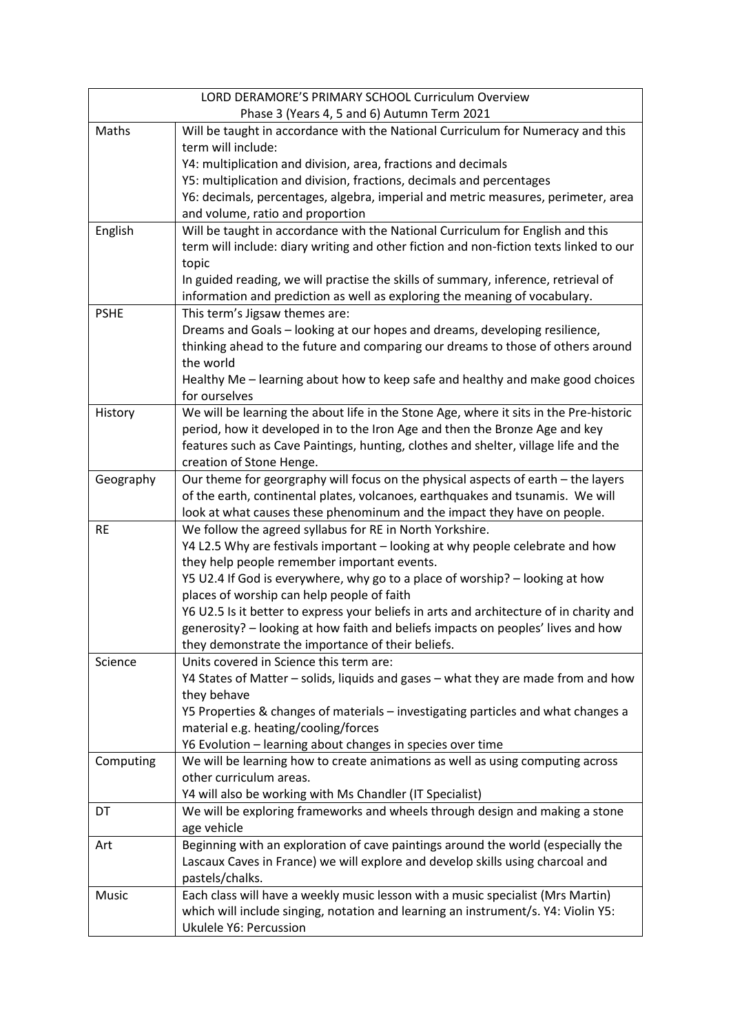| LORD DERAMORE'S PRIMARY SCHOOL Curriculum Overview |                                                                                                                            |  |
|----------------------------------------------------|----------------------------------------------------------------------------------------------------------------------------|--|
| Phase 3 (Years 4, 5 and 6) Autumn Term 2021        |                                                                                                                            |  |
| Maths                                              | Will be taught in accordance with the National Curriculum for Numeracy and this                                            |  |
|                                                    | term will include:                                                                                                         |  |
|                                                    | Y4: multiplication and division, area, fractions and decimals                                                              |  |
|                                                    | Y5: multiplication and division, fractions, decimals and percentages                                                       |  |
|                                                    | Y6: decimals, percentages, algebra, imperial and metric measures, perimeter, area                                          |  |
|                                                    | and volume, ratio and proportion                                                                                           |  |
| English                                            | Will be taught in accordance with the National Curriculum for English and this                                             |  |
|                                                    | term will include: diary writing and other fiction and non-fiction texts linked to our                                     |  |
|                                                    | topic                                                                                                                      |  |
|                                                    | In guided reading, we will practise the skills of summary, inference, retrieval of                                         |  |
|                                                    | information and prediction as well as exploring the meaning of vocabulary.                                                 |  |
| <b>PSHE</b>                                        | This term's Jigsaw themes are:                                                                                             |  |
|                                                    | Dreams and Goals - looking at our hopes and dreams, developing resilience,                                                 |  |
|                                                    | thinking ahead to the future and comparing our dreams to those of others around<br>the world                               |  |
|                                                    | Healthy Me - learning about how to keep safe and healthy and make good choices                                             |  |
|                                                    | for ourselves                                                                                                              |  |
| History                                            | We will be learning the about life in the Stone Age, where it sits in the Pre-historic                                     |  |
|                                                    | period, how it developed in to the Iron Age and then the Bronze Age and key                                                |  |
|                                                    | features such as Cave Paintings, hunting, clothes and shelter, village life and the                                        |  |
|                                                    | creation of Stone Henge.                                                                                                   |  |
| Geography                                          | Our theme for georgraphy will focus on the physical aspects of earth - the layers                                          |  |
|                                                    | of the earth, continental plates, volcanoes, earthquakes and tsunamis. We will                                             |  |
|                                                    | look at what causes these phenominum and the impact they have on people.                                                   |  |
| <b>RE</b>                                          | We follow the agreed syllabus for RE in North Yorkshire.                                                                   |  |
|                                                    | Y4 L2.5 Why are festivals important - looking at why people celebrate and how                                              |  |
|                                                    | they help people remember important events.                                                                                |  |
|                                                    | Y5 U2.4 If God is everywhere, why go to a place of worship? - looking at how<br>places of worship can help people of faith |  |
|                                                    | Y6 U2.5 Is it better to express your beliefs in arts and architecture of in charity and                                    |  |
|                                                    | generosity? - looking at how faith and beliefs impacts on peoples' lives and how                                           |  |
|                                                    | they demonstrate the importance of their beliefs.                                                                          |  |
| Science                                            | Units covered in Science this term are:                                                                                    |  |
|                                                    | Y4 States of Matter - solids, liquids and gases - what they are made from and how                                          |  |
|                                                    | they behave                                                                                                                |  |
|                                                    | Y5 Properties & changes of materials - investigating particles and what changes a                                          |  |
|                                                    | material e.g. heating/cooling/forces                                                                                       |  |
|                                                    | Y6 Evolution - learning about changes in species over time                                                                 |  |
| Computing                                          | We will be learning how to create animations as well as using computing across                                             |  |
|                                                    | other curriculum areas.                                                                                                    |  |
|                                                    | Y4 will also be working with Ms Chandler (IT Specialist)                                                                   |  |
| DT                                                 | We will be exploring frameworks and wheels through design and making a stone                                               |  |
|                                                    | age vehicle                                                                                                                |  |
| Art                                                | Beginning with an exploration of cave paintings around the world (especially the                                           |  |
|                                                    | Lascaux Caves in France) we will explore and develop skills using charcoal and                                             |  |
|                                                    | pastels/chalks.                                                                                                            |  |
| Music                                              | Each class will have a weekly music lesson with a music specialist (Mrs Martin)                                            |  |
|                                                    | which will include singing, notation and learning an instrument/s. Y4: Violin Y5:                                          |  |
|                                                    | Ukulele Y6: Percussion                                                                                                     |  |